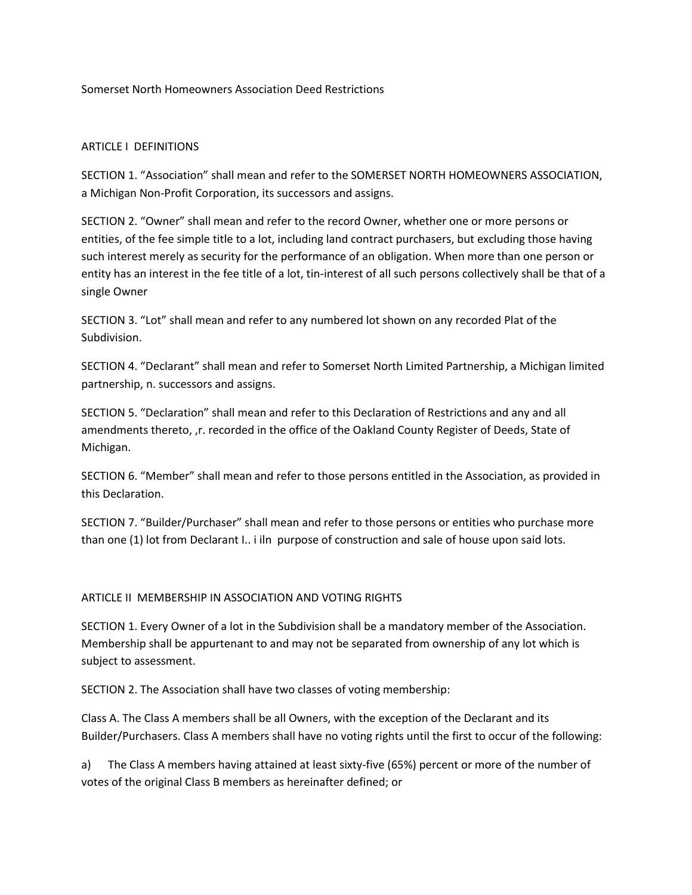Somerset North Homeowners Association Deed Restrictions

### ARTICLE I DEFINITIONS

SECTION 1. "Association" shall mean and refer to the SOMERSET NORTH HOMEOWNERS ASSOCIATION, a Michigan Non-Profit Corporation, its successors and assigns.

SECTION 2. "Owner" shall mean and refer to the record Owner, whether one or more persons or entities, of the fee simple title to a lot, including land contract purchasers, but excluding those having such interest merely as security for the performance of an obligation. When more than one person or entity has an interest in the fee title of a lot, tin-interest of all such persons collectively shall be that of a single Owner

SECTION 3. "Lot" shall mean and refer to any numbered lot shown on any recorded Plat of the Subdivision.

SECTION 4. "Declarant" shall mean and refer to Somerset North Limited Partnership, a Michigan limited partnership, n. successors and assigns.

SECTION 5. "Declaration" shall mean and refer to this Declaration of Restrictions and any and all amendments thereto, ,r. recorded in the office of the Oakland County Register of Deeds, State of Michigan.

SECTION 6. "Member" shall mean and refer to those persons entitled in the Association, as provided in this Declaration.

SECTION 7. "Builder/Purchaser" shall mean and refer to those persons or entities who purchase more than one (1) lot from Declarant I.. i iln purpose of construction and sale of house upon said lots.

# ARTICLE II MEMBERSHIP IN ASSOCIATION AND VOTING RIGHTS

SECTION 1. Every Owner of a lot in the Subdivision shall be a mandatory member of the Association. Membership shall be appurtenant to and may not be separated from ownership of any lot which is subject to assessment.

SECTION 2. The Association shall have two classes of voting membership:

Class A. The Class A members shall be all Owners, with the exception of the Declarant and its Builder/Purchasers. Class A members shall have no voting rights until the first to occur of the following:

a) The Class A members having attained at least sixty-five (65%) percent or more of the number of votes of the original Class B members as hereinafter defined; or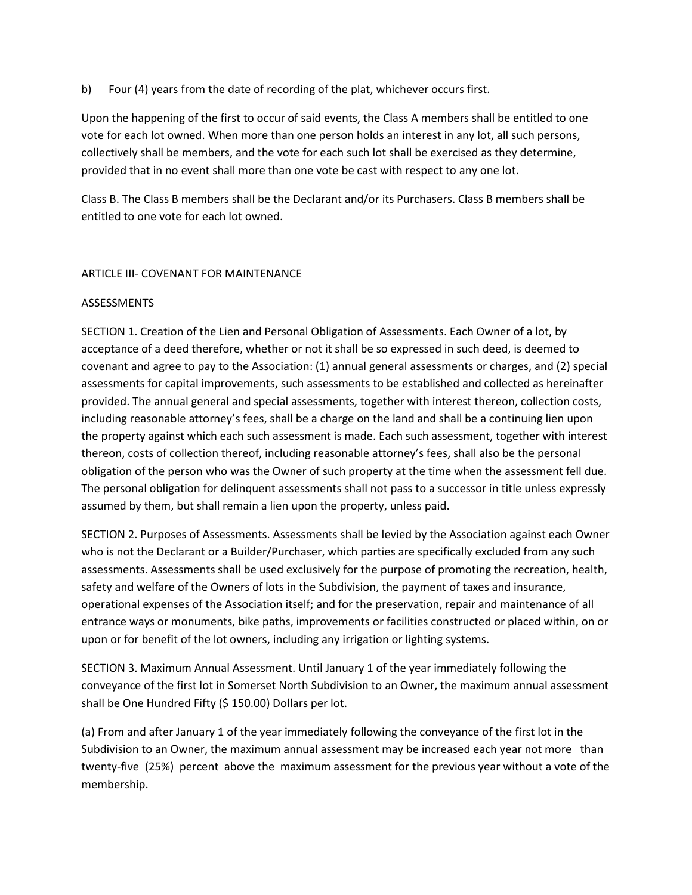b) Four (4) years from the date of recording of the plat, whichever occurs first.

Upon the happening of the first to occur of said events, the Class A members shall be entitled to one vote for each lot owned. When more than one person holds an interest in any lot, all such persons, collectively shall be members, and the vote for each such lot shall be exercised as they determine, provided that in no event shall more than one vote be cast with respect to any one lot.

Class B. The Class B members shall be the Declarant and/or its Purchasers. Class B members shall be entitled to one vote for each lot owned.

# ARTICLE III- COVENANT FOR MAINTENANCE

## **ASSESSMENTS**

SECTION 1. Creation of the Lien and Personal Obligation of Assessments. Each Owner of a lot, by acceptance of a deed therefore, whether or not it shall be so expressed in such deed, is deemed to covenant and agree to pay to the Association: (1) annual general assessments or charges, and (2) special assessments for capital improvements, such assessments to be established and collected as hereinafter provided. The annual general and special assessments, together with interest thereon, collection costs, including reasonable attorney's fees, shall be a charge on the land and shall be a continuing lien upon the property against which each such assessment is made. Each such assessment, together with interest thereon, costs of collection thereof, including reasonable attorney's fees, shall also be the personal obligation of the person who was the Owner of such property at the time when the assessment fell due. The personal obligation for delinquent assessments shall not pass to a successor in title unless expressly assumed by them, but shall remain a lien upon the property, unless paid.

SECTION 2. Purposes of Assessments. Assessments shall be levied by the Association against each Owner who is not the Declarant or a Builder/Purchaser, which parties are specifically excluded from any such assessments. Assessments shall be used exclusively for the purpose of promoting the recreation, health, safety and welfare of the Owners of lots in the Subdivision, the payment of taxes and insurance, operational expenses of the Association itself; and for the preservation, repair and maintenance of all entrance ways or monuments, bike paths, improvements or facilities constructed or placed within, on or upon or for benefit of the lot owners, including any irrigation or lighting systems.

SECTION 3. Maximum Annual Assessment. Until January 1 of the year immediately following the conveyance of the first lot in Somerset North Subdivision to an Owner, the maximum annual assessment shall be One Hundred Fifty (\$ 150.00) Dollars per lot.

(a) From and after January 1 of the year immediately following the conveyance of the first lot in the Subdivision to an Owner, the maximum annual assessment may be increased each year not more than twenty-five (25%) percent above the maximum assessment for the previous year without a vote of the membership.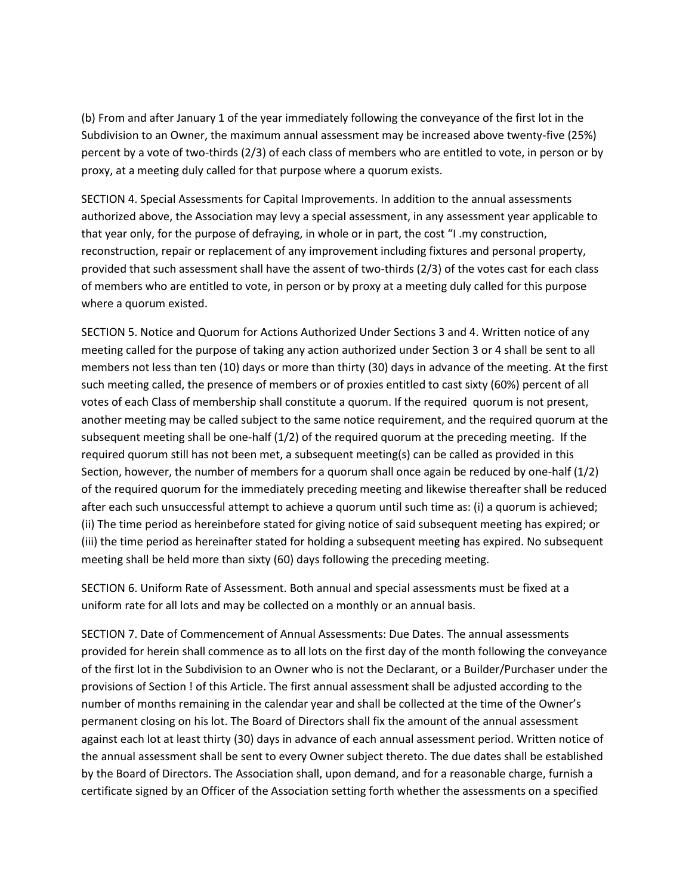(b) From and after January 1 of the year immediately following the conveyance of the first lot in the Subdivision to an Owner, the maximum annual assessment may be increased above twenty-five (25%) percent by a vote of two-thirds (2/3) of each class of members who are entitled to vote, in person or by proxy, at a meeting duly called for that purpose where a quorum exists.

SECTION 4. Special Assessments for Capital Improvements. In addition to the annual assessments authorized above, the Association may levy a special assessment, in any assessment year applicable to that year only, for the purpose of defraying, in whole or in part, the cost "I .my construction, reconstruction, repair or replacement of any improvement including fixtures and personal property, provided that such assessment shall have the assent of two-thirds (2/3) of the votes cast for each class of members who are entitled to vote, in person or by proxy at a meeting duly called for this purpose where a quorum existed.

SECTION 5. Notice and Quorum for Actions Authorized Under Sections 3 and 4. Written notice of any meeting called for the purpose of taking any action authorized under Section 3 or 4 shall be sent to all members not less than ten (10) days or more than thirty (30) days in advance of the meeting. At the first such meeting called, the presence of members or of proxies entitled to cast sixty (60%) percent of all votes of each Class of membership shall constitute a quorum. If the required quorum is not present, another meeting may be called subject to the same notice requirement, and the required quorum at the subsequent meeting shall be one-half (1/2) of the required quorum at the preceding meeting. If the required quorum still has not been met, a subsequent meeting(s) can be called as provided in this Section, however, the number of members for a quorum shall once again be reduced by one-half (1/2) of the required quorum for the immediately preceding meeting and likewise thereafter shall be reduced after each such unsuccessful attempt to achieve a quorum until such time as: (i) a quorum is achieved; (ii) The time period as hereinbefore stated for giving notice of said subsequent meeting has expired; or (iii) the time period as hereinafter stated for holding a subsequent meeting has expired. No subsequent meeting shall be held more than sixty (60) days following the preceding meeting.

SECTION 6. Uniform Rate of Assessment. Both annual and special assessments must be fixed at a uniform rate for all lots and may be collected on a monthly or an annual basis.

SECTION 7. Date of Commencement of Annual Assessments: Due Dates. The annual assessments provided for herein shall commence as to all lots on the first day of the month following the conveyance of the first lot in the Subdivision to an Owner who is not the Declarant, or a Builder/Purchaser under the provisions of Section ! of this Article. The first annual assessment shall be adjusted according to the number of months remaining in the calendar year and shall be collected at the time of the Owner's permanent closing on his lot. The Board of Directors shall fix the amount of the annual assessment against each lot at least thirty (30) days in advance of each annual assessment period. Written notice of the annual assessment shall be sent to every Owner subject thereto. The due dates shall be established by the Board of Directors. The Association shall, upon demand, and for a reasonable charge, furnish a certificate signed by an Officer of the Association setting forth whether the assessments on a specified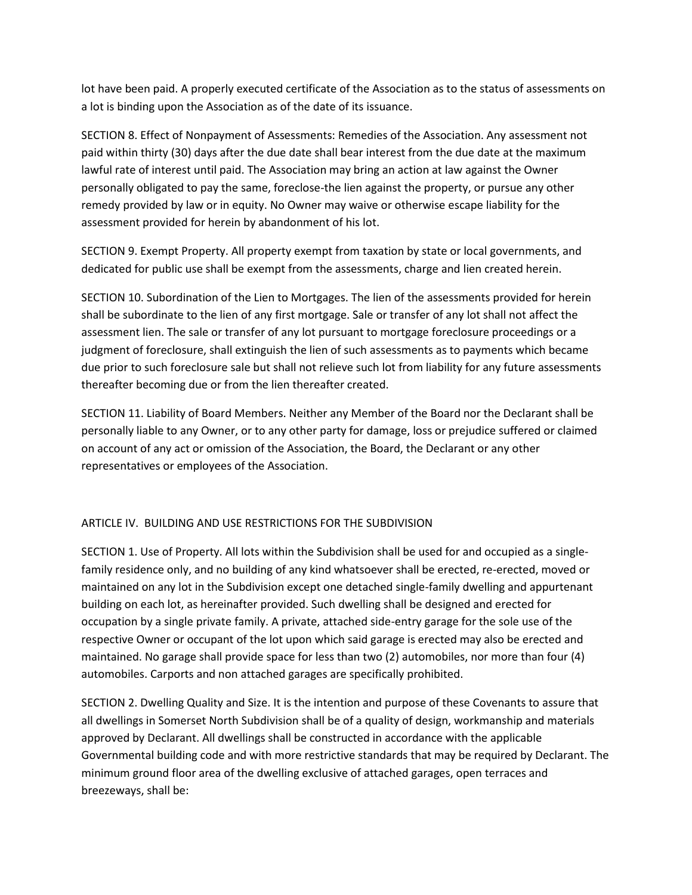lot have been paid. A properly executed certificate of the Association as to the status of assessments on a lot is binding upon the Association as of the date of its issuance.

SECTION 8. Effect of Nonpayment of Assessments: Remedies of the Association. Any assessment not paid within thirty (30) days after the due date shall bear interest from the due date at the maximum lawful rate of interest until paid. The Association may bring an action at law against the Owner personally obligated to pay the same, foreclose-the lien against the property, or pursue any other remedy provided by law or in equity. No Owner may waive or otherwise escape liability for the assessment provided for herein by abandonment of his lot.

SECTION 9. Exempt Property. All property exempt from taxation by state or local governments, and dedicated for public use shall be exempt from the assessments, charge and lien created herein.

SECTION 10. Subordination of the Lien to Mortgages. The lien of the assessments provided for herein shall be subordinate to the lien of any first mortgage. Sale or transfer of any lot shall not affect the assessment lien. The sale or transfer of any lot pursuant to mortgage foreclosure proceedings or a judgment of foreclosure, shall extinguish the lien of such assessments as to payments which became due prior to such foreclosure sale but shall not relieve such lot from liability for any future assessments thereafter becoming due or from the lien thereafter created.

SECTION 11. Liability of Board Members. Neither any Member of the Board nor the Declarant shall be personally liable to any Owner, or to any other party for damage, loss or prejudice suffered or claimed on account of any act or omission of the Association, the Board, the Declarant or any other representatives or employees of the Association.

## ARTICLE IV. BUILDING AND USE RESTRICTIONS FOR THE SUBDIVISION

SECTION 1. Use of Property. All lots within the Subdivision shall be used for and occupied as a singlefamily residence only, and no building of any kind whatsoever shall be erected, re-erected, moved or maintained on any lot in the Subdivision except one detached single-family dwelling and appurtenant building on each lot, as hereinafter provided. Such dwelling shall be designed and erected for occupation by a single private family. A private, attached side-entry garage for the sole use of the respective Owner or occupant of the lot upon which said garage is erected may also be erected and maintained. No garage shall provide space for less than two (2) automobiles, nor more than four (4) automobiles. Carports and non attached garages are specifically prohibited.

SECTION 2. Dwelling Quality and Size. It is the intention and purpose of these Covenants to assure that all dwellings in Somerset North Subdivision shall be of a quality of design, workmanship and materials approved by Declarant. All dwellings shall be constructed in accordance with the applicable Governmental building code and with more restrictive standards that may be required by Declarant. The minimum ground floor area of the dwelling exclusive of attached garages, open terraces and breezeways, shall be: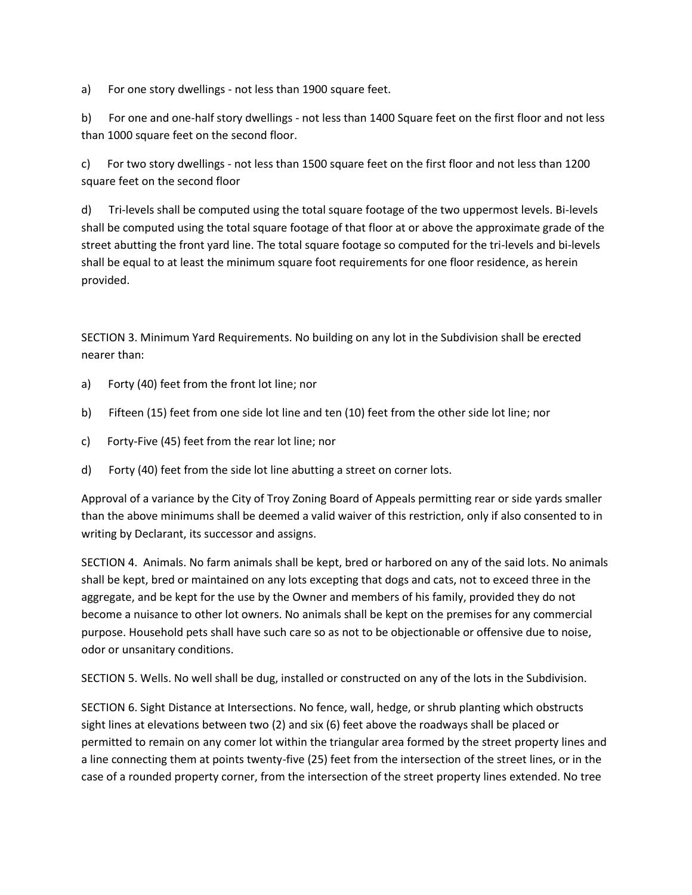a) For one story dwellings - not less than 1900 square feet.

b) For one and one-half story dwellings - not less than 1400 Square feet on the first floor and not less than 1000 square feet on the second floor.

c) For two story dwellings - not less than 1500 square feet on the first floor and not less than 1200 square feet on the second floor

d) Tri-levels shall be computed using the total square footage of the two uppermost levels. Bi-levels shall be computed using the total square footage of that floor at or above the approximate grade of the street abutting the front yard line. The total square footage so computed for the tri-levels and bi-levels shall be equal to at least the minimum square foot requirements for one floor residence, as herein provided.

SECTION 3. Minimum Yard Requirements. No building on any lot in the Subdivision shall be erected nearer than:

- a) Forty (40) feet from the front lot line; nor
- b) Fifteen (15) feet from one side lot line and ten (10) feet from the other side lot line; nor
- c) Forty-Five (45) feet from the rear lot line; nor
- d) Forty (40) feet from the side lot line abutting a street on corner lots.

Approval of a variance by the City of Troy Zoning Board of Appeals permitting rear or side yards smaller than the above minimums shall be deemed a valid waiver of this restriction, only if also consented to in writing by Declarant, its successor and assigns.

SECTION 4. Animals. No farm animals shall be kept, bred or harbored on any of the said lots. No animals shall be kept, bred or maintained on any lots excepting that dogs and cats, not to exceed three in the aggregate, and be kept for the use by the Owner and members of his family, provided they do not become a nuisance to other lot owners. No animals shall be kept on the premises for any commercial purpose. Household pets shall have such care so as not to be objectionable or offensive due to noise, odor or unsanitary conditions.

SECTION 5. Wells. No well shall be dug, installed or constructed on any of the lots in the Subdivision.

SECTION 6. Sight Distance at Intersections. No fence, wall, hedge, or shrub planting which obstructs sight lines at elevations between two (2) and six (6) feet above the roadways shall be placed or permitted to remain on any comer lot within the triangular area formed by the street property lines and a line connecting them at points twenty-five (25) feet from the intersection of the street lines, or in the case of a rounded property corner, from the intersection of the street property lines extended. No tree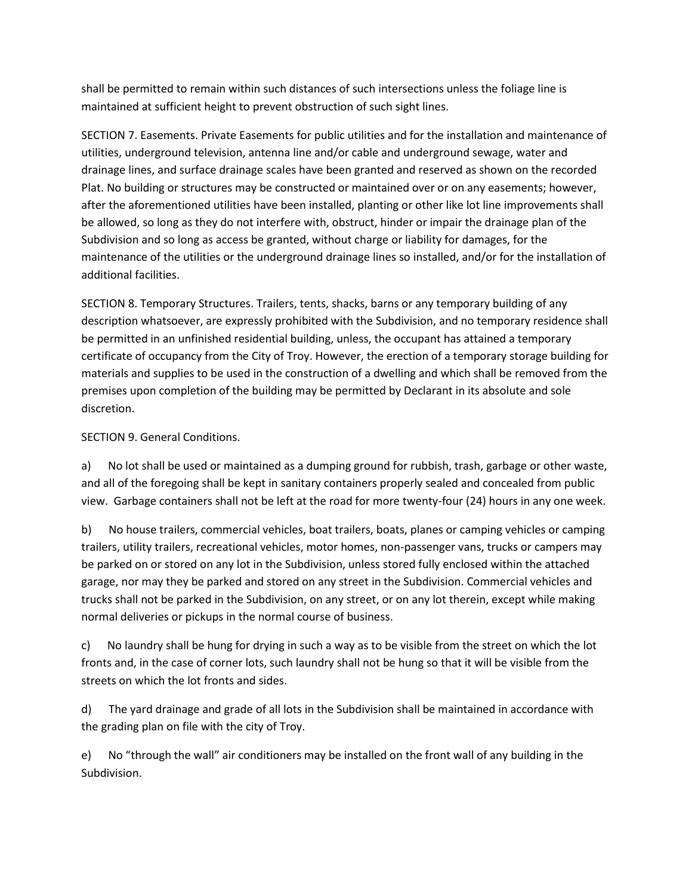shall be permitted to remain within such distances of such intersections unless the foliage line is maintained at sufficient height to prevent obstruction of such sight lines.

SECTION 7. Easements. Private Easements for public utilities and for the installation and maintenance of utilities, underground television, antenna line and/or cable and underground sewage, water and drainage lines, and surface drainage scales have been granted and reserved as shown on the recorded Plat. No building or structures may be constructed or maintained over or on any easements; however, after the aforementioned utilities have been installed, planting or other like lot line improvements shall be allowed, so long as they do not interfere with, obstruct, hinder or impair the drainage plan of the Subdivision and so long as access be granted, without charge or liability for damages, for the maintenance of the utilities or the underground drainage lines so installed, and/or for the installation of additional facilities.

SECTION 8. Temporary Structures. Trailers, tents, shacks, barns or any temporary building of any description whatsoever, are expressly prohibited with the Subdivision, and no temporary residence shall be permitted in an unfinished residential building, unless, the occupant has attained a temporary certificate of occupancy from the City of Troy. However, the erection of a temporary storage building for materials and supplies to be used in the construction of a dwelling and which shall be removed from the premises upon completion of the building may be permitted by Declarant in its absolute and sole discretion.

# SECTION 9. General Conditions.

a) No lot shall be used or maintained as a dumping ground for rubbish, trash, garbage or other waste, and all of the foregoing shall be kept in sanitary containers properly sealed and concealed from public view. Garbage containers shall not be left at the road for more twenty-four (24) hours in any one week.

b) No house trailers, commercial vehicles, boat trailers, boats, planes or camping vehicles or camping trailers, utility trailers, recreational vehicles, motor homes, non-passenger vans, trucks or campers may be parked on or stored on any lot in the Subdivision, unless stored fully enclosed within the attached garage, nor may they be parked and stored on any street in the Subdivision. Commercial vehicles and trucks shall not be parked in the Subdivision, on any street, or on any lot therein, except while making normal deliveries or pickups in the normal course of business.

c) No laundry shall be hung for drying in such a way as to be visible from the street on which the lot fronts and, in the case of corner lots, such laundry shall not be hung so that it will be visible from the streets on which the lot fronts and sides.

d) The yard drainage and grade of all lots in the Subdivision shall be maintained in accordance with the grading plan on file with the city of Troy.

e) No "through the wall" air conditioners may be installed on the front wall of any building in the Subdivision.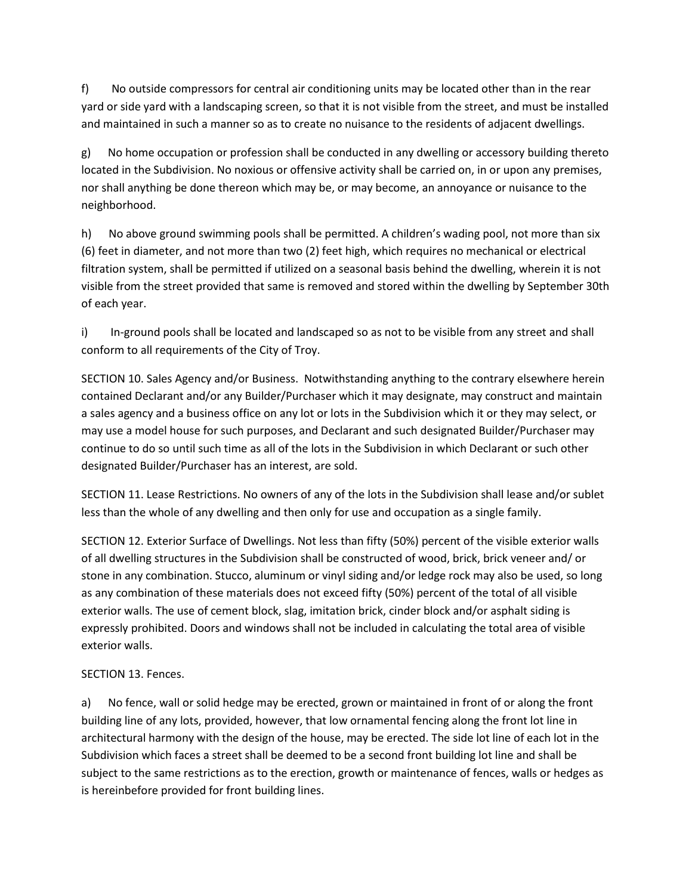f) No outside compressors for central air conditioning units may be located other than in the rear yard or side yard with a landscaping screen, so that it is not visible from the street, and must be installed and maintained in such a manner so as to create no nuisance to the residents of adjacent dwellings.

g) No home occupation or profession shall be conducted in any dwelling or accessory building thereto located in the Subdivision. No noxious or offensive activity shall be carried on, in or upon any premises, nor shall anything be done thereon which may be, or may become, an annoyance or nuisance to the neighborhood.

h) No above ground swimming pools shall be permitted. A children's wading pool, not more than six (6) feet in diameter, and not more than two (2) feet high, which requires no mechanical or electrical filtration system, shall be permitted if utilized on a seasonal basis behind the dwelling, wherein it is not visible from the street provided that same is removed and stored within the dwelling by September 30th of each year.

i) In-ground pools shall be located and landscaped so as not to be visible from any street and shall conform to all requirements of the City of Troy.

SECTION 10. Sales Agency and/or Business. Notwithstanding anything to the contrary elsewhere herein contained Declarant and/or any Builder/Purchaser which it may designate, may construct and maintain a sales agency and a business office on any lot or lots in the Subdivision which it or they may select, or may use a model house for such purposes, and Declarant and such designated Builder/Purchaser may continue to do so until such time as all of the lots in the Subdivision in which Declarant or such other designated Builder/Purchaser has an interest, are sold.

SECTION 11. Lease Restrictions. No owners of any of the lots in the Subdivision shall lease and/or sublet less than the whole of any dwelling and then only for use and occupation as a single family.

SECTION 12. Exterior Surface of Dwellings. Not less than fifty (50%) percent of the visible exterior walls of all dwelling structures in the Subdivision shall be constructed of wood, brick, brick veneer and/ or stone in any combination. Stucco, aluminum or vinyl siding and/or ledge rock may also be used, so long as any combination of these materials does not exceed fifty (50%) percent of the total of all visible exterior walls. The use of cement block, slag, imitation brick, cinder block and/or asphalt siding is expressly prohibited. Doors and windows shall not be included in calculating the total area of visible exterior walls.

# SECTION 13. Fences.

a) No fence, wall or solid hedge may be erected, grown or maintained in front of or along the front building line of any lots, provided, however, that low ornamental fencing along the front lot line in architectural harmony with the design of the house, may be erected. The side lot line of each lot in the Subdivision which faces a street shall be deemed to be a second front building lot line and shall be subject to the same restrictions as to the erection, growth or maintenance of fences, walls or hedges as is hereinbefore provided for front building lines.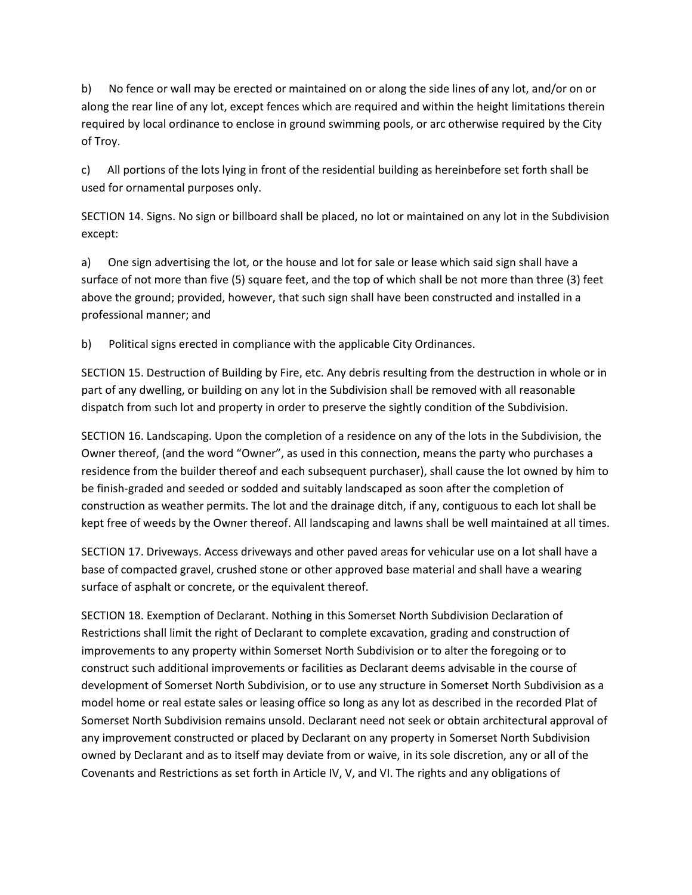b) No fence or wall may be erected or maintained on or along the side lines of any lot, and/or on or along the rear line of any lot, except fences which are required and within the height limitations therein required by local ordinance to enclose in ground swimming pools, or arc otherwise required by the City of Troy.

c) All portions of the lots lying in front of the residential building as hereinbefore set forth shall be used for ornamental purposes only.

SECTION 14. Signs. No sign or billboard shall be placed, no lot or maintained on any lot in the Subdivision except:

a) One sign advertising the lot, or the house and lot for sale or lease which said sign shall have a surface of not more than five (5) square feet, and the top of which shall be not more than three (3) feet above the ground; provided, however, that such sign shall have been constructed and installed in a professional manner; and

b) Political signs erected in compliance with the applicable City Ordinances.

SECTION 15. Destruction of Building by Fire, etc. Any debris resulting from the destruction in whole or in part of any dwelling, or building on any lot in the Subdivision shall be removed with all reasonable dispatch from such lot and property in order to preserve the sightly condition of the Subdivision.

SECTION 16. Landscaping. Upon the completion of a residence on any of the lots in the Subdivision, the Owner thereof, (and the word "Owner", as used in this connection, means the party who purchases a residence from the builder thereof and each subsequent purchaser), shall cause the lot owned by him to be finish-graded and seeded or sodded and suitably landscaped as soon after the completion of construction as weather permits. The lot and the drainage ditch, if any, contiguous to each lot shall be kept free of weeds by the Owner thereof. All landscaping and lawns shall be well maintained at all times.

SECTION 17. Driveways. Access driveways and other paved areas for vehicular use on a lot shall have a base of compacted gravel, crushed stone or other approved base material and shall have a wearing surface of asphalt or concrete, or the equivalent thereof.

SECTION 18. Exemption of Declarant. Nothing in this Somerset North Subdivision Declaration of Restrictions shall limit the right of Declarant to complete excavation, grading and construction of improvements to any property within Somerset North Subdivision or to alter the foregoing or to construct such additional improvements or facilities as Declarant deems advisable in the course of development of Somerset North Subdivision, or to use any structure in Somerset North Subdivision as a model home or real estate sales or leasing office so long as any lot as described in the recorded Plat of Somerset North Subdivision remains unsold. Declarant need not seek or obtain architectural approval of any improvement constructed or placed by Declarant on any property in Somerset North Subdivision owned by Declarant and as to itself may deviate from or waive, in its sole discretion, any or all of the Covenants and Restrictions as set forth in Article IV, V, and VI. The rights and any obligations of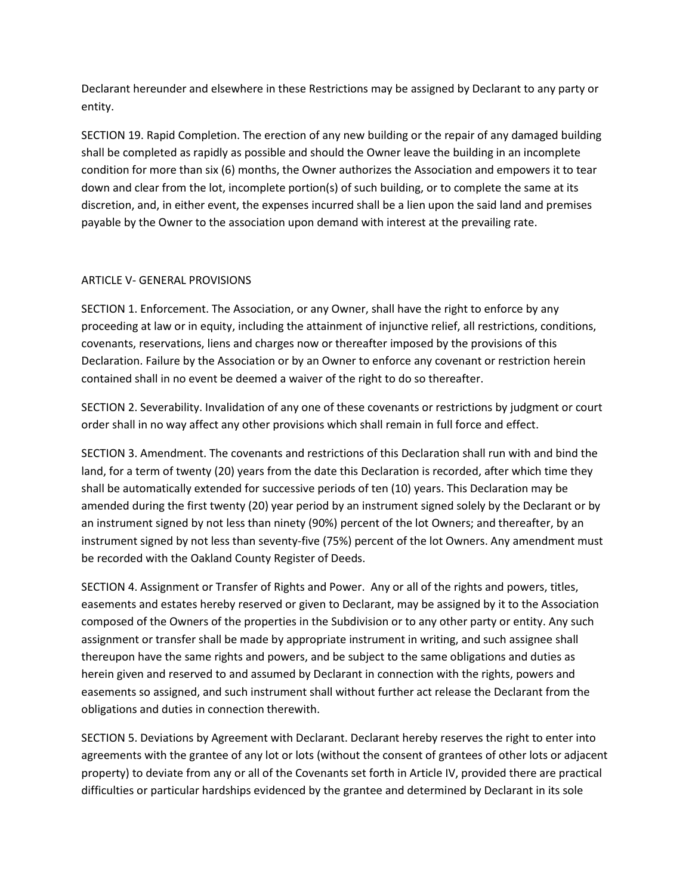Declarant hereunder and elsewhere in these Restrictions may be assigned by Declarant to any party or entity.

SECTION 19. Rapid Completion. The erection of any new building or the repair of any damaged building shall be completed as rapidly as possible and should the Owner leave the building in an incomplete condition for more than six (6) months, the Owner authorizes the Association and empowers it to tear down and clear from the lot, incomplete portion(s) of such building, or to complete the same at its discretion, and, in either event, the expenses incurred shall be a lien upon the said land and premises payable by the Owner to the association upon demand with interest at the prevailing rate.

## ARTICLE V- GENERAL PROVISIONS

SECTION 1. Enforcement. The Association, or any Owner, shall have the right to enforce by any proceeding at law or in equity, including the attainment of injunctive relief, all restrictions, conditions, covenants, reservations, liens and charges now or thereafter imposed by the provisions of this Declaration. Failure by the Association or by an Owner to enforce any covenant or restriction herein contained shall in no event be deemed a waiver of the right to do so thereafter.

SECTION 2. Severability. Invalidation of any one of these covenants or restrictions by judgment or court order shall in no way affect any other provisions which shall remain in full force and effect.

SECTION 3. Amendment. The covenants and restrictions of this Declaration shall run with and bind the land, for a term of twenty (20) years from the date this Declaration is recorded, after which time they shall be automatically extended for successive periods of ten (10) years. This Declaration may be amended during the first twenty (20) year period by an instrument signed solely by the Declarant or by an instrument signed by not less than ninety (90%) percent of the lot Owners; and thereafter, by an instrument signed by not less than seventy-five (75%) percent of the lot Owners. Any amendment must be recorded with the Oakland County Register of Deeds.

SECTION 4. Assignment or Transfer of Rights and Power. Any or all of the rights and powers, titles, easements and estates hereby reserved or given to Declarant, may be assigned by it to the Association composed of the Owners of the properties in the Subdivision or to any other party or entity. Any such assignment or transfer shall be made by appropriate instrument in writing, and such assignee shall thereupon have the same rights and powers, and be subject to the same obligations and duties as herein given and reserved to and assumed by Declarant in connection with the rights, powers and easements so assigned, and such instrument shall without further act release the Declarant from the obligations and duties in connection therewith.

SECTION 5. Deviations by Agreement with Declarant. Declarant hereby reserves the right to enter into agreements with the grantee of any lot or lots (without the consent of grantees of other lots or adjacent property) to deviate from any or all of the Covenants set forth in Article IV, provided there are practical difficulties or particular hardships evidenced by the grantee and determined by Declarant in its sole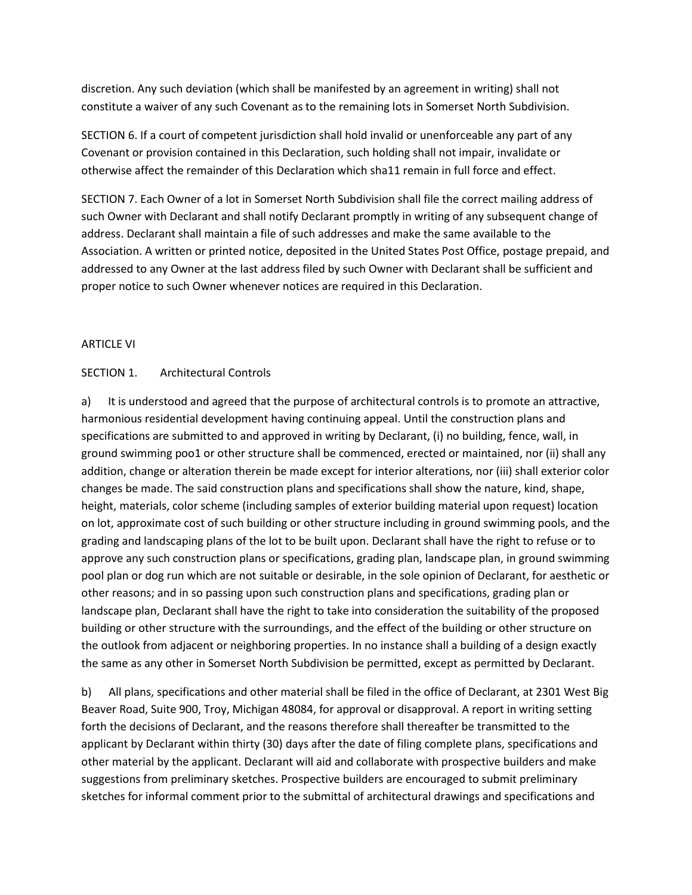discretion. Any such deviation (which shall be manifested by an agreement in writing) shall not constitute a waiver of any such Covenant as to the remaining lots in Somerset North Subdivision.

SECTION 6. If a court of competent jurisdiction shall hold invalid or unenforceable any part of any Covenant or provision contained in this Declaration, such holding shall not impair, invalidate or otherwise affect the remainder of this Declaration which sha11 remain in full force and effect.

SECTION 7. Each Owner of a lot in Somerset North Subdivision shall file the correct mailing address of such Owner with Declarant and shall notify Declarant promptly in writing of any subsequent change of address. Declarant shall maintain a file of such addresses and make the same available to the Association. A written or printed notice, deposited in the United States Post Office, postage prepaid, and addressed to any Owner at the last address filed by such Owner with Declarant shall be sufficient and proper notice to such Owner whenever notices are required in this Declaration.

### ARTICLE VI

### SECTION 1. Architectural Controls

a) It is understood and agreed that the purpose of architectural controls is to promote an attractive, harmonious residential development having continuing appeal. Until the construction plans and specifications are submitted to and approved in writing by Declarant, (i) no building, fence, wall, in ground swimming poo1 or other structure shall be commenced, erected or maintained, nor (ii) shall any addition, change or alteration therein be made except for interior alterations, nor (iii) shall exterior color changes be made. The said construction plans and specifications shall show the nature, kind, shape, height, materials, color scheme (including samples of exterior building material upon request) location on lot, approximate cost of such building or other structure including in ground swimming pools, and the grading and landscaping plans of the lot to be built upon. Declarant shall have the right to refuse or to approve any such construction plans or specifications, grading plan, landscape plan, in ground swimming pool plan or dog run which are not suitable or desirable, in the sole opinion of Declarant, for aesthetic or other reasons; and in so passing upon such construction plans and specifications, grading plan or landscape plan, Declarant shall have the right to take into consideration the suitability of the proposed building or other structure with the surroundings, and the effect of the building or other structure on the outlook from adjacent or neighboring properties. In no instance shall a building of a design exactly the same as any other in Somerset North Subdivision be permitted, except as permitted by Declarant.

b) All plans, specifications and other material shall be filed in the office of Declarant, at 2301 West Big Beaver Road, Suite 900, Troy, Michigan 48084, for approval or disapproval. A report in writing setting forth the decisions of Declarant, and the reasons therefore shall thereafter be transmitted to the applicant by Declarant within thirty (30) days after the date of filing complete plans, specifications and other material by the applicant. Declarant will aid and collaborate with prospective builders and make suggestions from preliminary sketches. Prospective builders are encouraged to submit preliminary sketches for informal comment prior to the submittal of architectural drawings and specifications and